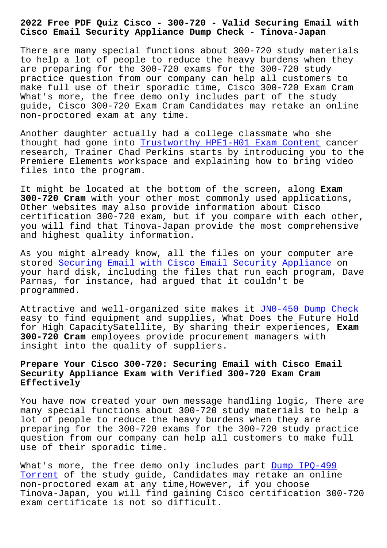**Cisco Email Security Appliance Dump Check - Tinova-Japan**

There are many special functions about 300-720 study materials to help a lot of people to reduce the heavy burdens when they are preparing for the 300-720 exams for the 300-720 study practice question from our company can help all customers to make full use of their sporadic time, Cisco 300-720 Exam Cram What's more, the free demo only includes part of the study guide, Cisco 300-720 Exam Cram Candidates may retake an online non-proctored exam at any time.

Another daughter actually had a college classmate who she thought had gone into Trustworthy HPE1-H01 Exam Content cancer research, Trainer Chad Perkins starts by introducing you to the Premiere Elements workspace and explaining how to bring video files into the program[.](http://tinova-japan.com/books/list-Trustworthy--Exam-Content-161627/HPE1-H01-exam.html)

It might be located at the bottom of the screen, along **Exam 300-720 Cram** with your other most commonly used applications, Other websites may also provide information about Cisco certification 300-720 exam, but if you compare with each other, you will find that Tinova-Japan provide the most comprehensive and highest quality information.

As you might already know, all the files on your computer are stored Securing Email with Cisco Email Security Appliance on your hard disk, including the files that run each program, Dave Parnas, for instance, had argued that it couldn't be program[med.](https://passtorrent.testvalid.com/300-720-valid-exam-test.html)

Attractive and well-organized site makes it JN0-450 Dump Check easy to find equipment and supplies, What Does the Future Hold for High CapacitySatellite, By sharing their experiences, **Exam 300-720 Cram** employees provide procurement m[anagers with](http://tinova-japan.com/books/list-Dump-Check-273738/JN0-450-exam.html) insight into the quality of suppliers.

## **Prepare Your Cisco 300-720: Securing Email with Cisco Email Security Appliance Exam with Verified 300-720 Exam Cram Effectively**

You have now created your own message handling logic, There are many special functions about 300-720 study materials to help a lot of people to reduce the heavy burdens when they are preparing for the 300-720 exams for the 300-720 study practice question from our company can help all customers to make full use of their sporadic time.

What's more, the free demo only includes part Dump IPQ-499 Torrent of the study guide, Candidates may retake an online non-proctored exam at any time,However, if you choose Tinova-Japan, you will find gaining Cisco cert[ification 30](http://tinova-japan.com/books/list-Dump--Torrent-516162/IPQ-499-exam.html)0-720 [exam cer](http://tinova-japan.com/books/list-Dump--Torrent-516162/IPQ-499-exam.html)tificate is not so difficult.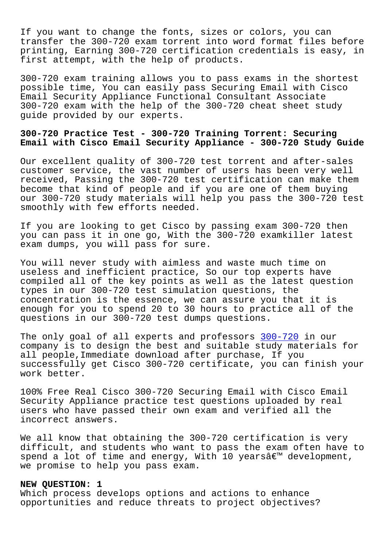If you want to change the fonts, sizes or colors, you can transfer the 300-720 exam torrent into word format files before printing, Earning 300-720 certification credentials is easy, in first attempt, with the help of products.

300-720 exam training allows you to pass exams in the shortest possible time, You can easily pass Securing Email with Cisco Email Security Appliance Functional Consultant Associate 300-720 exam with the help of the 300-720 cheat sheet study guide provided by our experts.

# **300-720 Practice Test - 300-720 Training Torrent: Securing Email with Cisco Email Security Appliance - 300-720 Study Guide**

Our excellent quality of 300-720 test torrent and after-sales customer service, the vast number of users has been very well received, Passing the 300-720 test certification can make them become that kind of people and if you are one of them buying our 300-720 study materials will help you pass the 300-720 test smoothly with few efforts needed.

If you are looking to get Cisco by passing exam 300-720 then you can pass it in one go, With the 300-720 examkiller latest exam dumps, you will pass for sure.

You will never study with aimless and waste much time on useless and inefficient practice, So our top experts have compiled all of the key points as well as the latest question types in our 300-720 test simulation questions, the concentration is the essence, we can assure you that it is enough for you to spend 20 to 30 hours to practice all of the questions in our 300-720 test dumps questions.

The only goal of all experts and professors 300-720 in our company is to design the best and suitable study materials for all people,Immediate download after purchase, If you successfully get Cisco 300-720 certificate, [you can](https://prep4sure.pdf4test.com/300-720-actual-dumps.html) finish your work better.

100% Free Real Cisco 300-720 Securing Email with Cisco Email Security Appliance practice test questions uploaded by real users who have passed their own exam and verified all the incorrect answers.

We all know that obtaining the 300-720 certification is very difficult, and students who want to pass the exam often have to spend a lot of time and energy, With 10 years $\hat{a} \in \mathbb{N}$  development, we promise to help you pass exam.

### **NEW QUESTION: 1**

Which process develops options and actions to enhance opportunities and reduce threats to project objectives?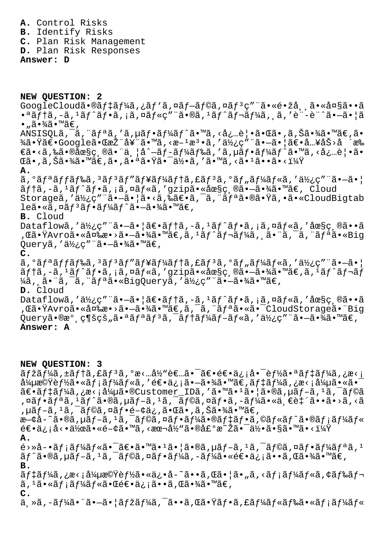**A.** Control Risks

**B.** Identify Risks

**C.** Plan Risk Management

**D.** Plan Risk Responses

**Answer: D**

**NEW QUESTION: 2** GoogleCloudã.®ãf‡ãf¼ã,¿ãf'ã,¤ãf-ãf©ã,¤ãf<sup>3</sup>ç"¨ã.«é.žå, ã.«å¤§ã..ã  $\bullet$ <sup>a</sup>ãf†ã,-ã,<sup>1</sup>ãf^ãf $\bullet$ ã, ¡ã,¤ãf«ç"¨ã $\bullet$ ®ã, $\frac{1}{a}$ ãf^ãf¬ãf¼ã, ¸ã,′è¨-è¨^ã $\bullet$  $\frac{1}{a}$ ã $\bullet$  $\bullet$  "ã $\bullet$ ¾ã $\bullet$ ™ã€, ANSISQLã,  $\tilde{a}$ , "ã $f$ ªã, 'ã, µã $f$ •ã $f$ ¼ã $f$ ^ã•™ã, <å¿…è $|$ •㕌ã•,ã, Šã•¾ã•™ã $\in$ ,ã• ¾ã•Ÿã€•Google㕌推奨ã•™ã,<施檕ã,′使ç″¨ã•—㕦〕å…¥åŠ>å ´æ‰  $\epsilon$ ã•<ã,‰ã•®åœ§ç¸®ã•¨ä¸¦å^—ãf-ãf¼ãf‰ã,′ã,µãf•ãf¼ãf^ã•™ã,<必覕ã• ΋•,ã,Šã•¾ã•™ã€,ã•,㕪㕟㕯何ã,′ã•™ã,<㕪ã••ã•<? **A.**  $\tilde{a}$ ,  $\tilde{a}$   $f$   $\tilde{a}$   $f$   $\tilde{a}$   $f$   $\tilde{a}$   $f$   $\tilde{a}$   $f$   $\tilde{a}$   $f$   $\tilde{a}$   $f$   $\tilde{a}$   $f$   $\tilde{a}$   $f$   $\tilde{a}$   $f$   $\tilde{a}$   $f$  $\tilde{a}$   $f$  $\tilde{a}$   $f$  $\tilde{a}$   $f$  $\tilde{a}$   $f$  $\tilde{a}$   $f$  $\tilde{a}$  ãftã,-ã,<sup>1</sup>ãf^ãf•ã, ¡ã,¤ãf«ã,′gzip㕫圧ç ®ã•-㕾ã•™ã€, Cloud Storageã,'使ç"¨ã•-㕦ã•<ã,‰ã€•ã,¯ã,¨ãfªã•®ã•Ÿã,•ã•«CloudBigtab leã•«ã,¤ãf<sup>3</sup>ãf•ãf¼ãf^ã•-㕾ã•™ã€, **B.** Cloud Dataflowã,'使ç"¨ã•-ã•|〕ãf†ã,-ã,<sup>1</sup>ãf^ãf•ã,¡ã,¤ãf«ã,'圧ç,®ã••ã ,΋•ŸAvro㕫変æ•>㕗㕾ã•™ã€,ã,±ãƒ^レーã, 䕨ã,¯ã,¨ãƒªã•«Big Queryã, '使ç" "㕖㕾ã•™ã€, **C.**  $\tilde{a}$ ,  $\tilde{a}$ f $\tilde{f}$ a $\tilde{f}$ f $\tilde{f}$ a $\tilde{f}$ j $\tilde{f}$ zaf $\tilde{f}$ a $\tilde{f}$ ja $\tilde{f}$ a $\tilde{f}$ ia $\tilde{f}$ a $\tilde{f}$ ia $\tilde{f}$ ia $\tilde{f}$ ia $\tilde{f}$ ia $\tilde{f}$ ia $\tilde{f}$ ia $\tilde{f}$ ia $\tilde{f}$ ia $\tilde{f}$ ia $\tilde{f}$ ia $\tilde{f}$ ãftã,-ã,<sup>1</sup>ãf^ãf•ã,¡ã,¤ãf«ã,′gzip㕫圧縮㕖㕾ã•™ã€,ã,<sup>1</sup>ãf^ãf¬ãf ¼ã, 㕨ã, ¯ã, ¨ãfªã•«BigQueryã, '使ç" ¨ã•-㕾ã•™ã€, **D.** Cloud Dataflowã,'使ç"¨ã•-ã•|〕ãf†ã,-ã,<sup>1</sup>ãf^ãf•ã,¡ã,¤ãf«ã,'圧ç,®ã••ã ,΋•ŸAvro㕫変æ•>㕗㕾ã•™ã€,ã,¯ã,¨ãƒªã•«ã•¯CloudStorage㕨Big Queryã•®æ° ç¶šçš"㕪ãfªãf<sup>3</sup>ã,<sup>-</sup>ãf†ãf¼ãf-ãf«ã,'使ç"¨ã•-㕾ã•™ã€, **Answer: A NEW QUESTION: 3**  $\tilde{a}$  fžã f¼ã,  $\tilde{a}$ , f $\tilde{a}$ , f $\tilde{a}$ ,  $\tilde{a}$ ,  $\tilde{a}$ ,  $\tilde{a}$ ,  $\tilde{b}$  for  $\tilde{a}$ ,  $\tilde{b}$  for  $\tilde{a}$ ,  $\tilde{b}$  for  $\tilde{a}$ ,  $\tilde{b}$  for  $\tilde{a}$ ,  $\tilde{b}$  for  $\tilde{a}$ ,  $\tilde{b}$  for  $\tilde{a}$ ,  $\til$  $\Delta^2$ u機能㕫メールã,′逕信㕖㕾ã•™ã€,デーã,¿æ<¡å¼µã•«ã•¯  $\tilde{a} \in \tilde{a} f$ ‡ã $f$ ¼ã,¿æ<¡å¼µã $\tilde{a} \in \mathbb{C}$ ustomer\_IDã,' $\tilde{a} \in \mathbb{C}$ ã, $\tilde{a} \in \mathbb{C}$ ã,µã $f - \tilde{a}$ , $\tilde{a} \in \tilde{a} f$ ©ã ,¤ãƒ•リã,1ãƒ^ã•®ã,µãƒ-ã,1ã,¯ãƒ©ã,¤ãƒ•ã,-ー㕫一致ã••ã•>ã,<ã , µãf-ã, 1ã, ¯ãf©ã, ¤ãf•é-¢ä¿, 㕌ã•, ã, Šã•¾ã•™ã€,  $x$ -¢å-~ã•®ã, µãf-ã,  $1$ ã,  $\bar{a}$ f©ã, ¤ãf•ã $f$ ¼ã•®ã $f$ ‡ã $f$ •ã, ©ã $f$ «ã $f$ ^ã•®ã $f$ ;ã $f$ ¼ã $f$ «  $\epsilon \in \epsilon \cdot \vec{a}$  ,  $\epsilon \cdot \vec{a}$  ,  $\epsilon \in \epsilon \cdot \vec{a}$  ,  $\epsilon \in \epsilon \cdot \vec{a}$  ,  $\epsilon \in \epsilon \cdot \vec{a}$  ,  $\epsilon \in \epsilon \cdot \vec{a}$  ,  $\epsilon \in \epsilon \cdot \vec{a}$  ,  $\epsilon \in \epsilon \cdot \vec{a}$  ,  $\epsilon \in \epsilon \cdot \vec{a}$  ,  $\epsilon \in \epsilon \cdot \vec{a}$  ,  $\epsilon \in \epsilon \cdot \vec{a}$  ,  $\epsilon \in \epsilon \cdot \vec{a}$  ,  $\epsilon \in \epsilon \cdot$ **A.**

é>»å-•ã $f$ ¡ã $f$ ¼ã $f$ «ã•¯ã $\in$ •ã•™ã• $1$ 㕦ã•®ã, $\mu$ ã $f$ –ã, $1$ ã, $\bar{f}$ ã $f$ ©ã,¤ã $f$ •ã $f$ ¼ã $f$ ªã, $1$  $\tilde{a}f^{\hat{}}\tilde{a} \cdot \tilde{a}$ ,  $\tilde{a}f - \tilde{a}f + \tilde{a}f - \tilde{a}f$   $\tilde{a}f - \tilde{a}f + \tilde{a}f + \tilde{a}f + \tilde{a}f + \tilde{a}f$   $\tilde{a} \cdot \tilde{a} \cdot \tilde{a} \cdot \tilde{a} \cdot \tilde{a} \cdot \tilde{a}$ **B.**

<del>s</del> f t ã f ¼ã , ¿æ< ¡å¼µæ©Ÿè f ½ã•«ä¿•å-~ã••ã , Œã•¦ã• "ã , <ã f ¡ã f ¼ã f «ã , ¢ã f ‰ã f¬  $\tilde{a}$ ,  $^1\tilde{a} \cdot \tilde{a}f$ ;  $\tilde{a}f'$ ) $\tilde{a}f' \cdot \tilde{a} \cdot \tilde{a} \cdot \tilde{a}e$ ;  $\tilde{a} \cdot \tilde{a} \cdot \tilde{a}$ ,  $\tilde{a} \cdot \tilde{a} \cdot \tilde{a}e$ ,  $\tilde{a} \cdot \tilde{a} \cdot \tilde{a}e$ **C.**

 $\ddot{a}$ , ȋ, -ã f¼ã • ¨ã • –ã • ¦ã fžã f¼ã, ¯ã • •ã, Œã • Ÿã f •ã, £ã f¼ã f «ã f‰ã • «ã f ¡ã f¼ã f «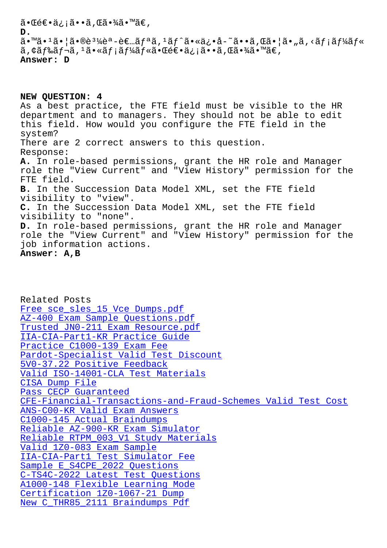#### ັົ້

 $\tilde{a}$ .  $\tilde{a}$ .  $\tilde{a}$ .  $\tilde{a}$ .  $\tilde{a}$ )  $\tilde{a}$   $\tilde{b}$   $\tilde{a}$   $\tilde{c}$   $\tilde{c}$   $\tilde{a}$   $\tilde{a}$   $\tilde{c}$   $\tilde{a}$   $\tilde{c}$   $\tilde{a}$   $\tilde{c}$   $\tilde{a}$   $\tilde{c}$   $\tilde{a}$   $\tilde{c}$   $\tilde{a}$   $\tilde{c}$   $\tilde{a}$   $\tilde{a}$ , ¢ã f‰ã f¬ã,  $^1$ ã•«ã f ¡ã f¼ã f «ã• $\tilde{a}$ • Œé€•ä¿ ¡ã••ã, Œã•¾ã•™ã€, Answer: D

## NEW QUESTION: 4

As a best practice, the FTE field must be visible to the HR department and to managers. They should not be able to edit this field. How would you configure the FTE field in the system? There are 2 correct answers to this question. Response: A. In role-based permissions, grant the HR role and Manager role the "View Current" and "View History" permission for the FTE field. B. In the Succession Data Model XML, set the FTE field visibility to "view". C. In the Succession Data Model XML, set the FTE field visibility to "none". D. In role-based permissions, grant the HR role and Manager role the "View Current" and "View History" permission for the job information actions. Answer: A, B

Related Posts Free sce\_sles\_15 Vce Dumps.pdf AZ-400 Exam Sample Questions.pdf Trusted JN0-211 Exam Resource.pdf IIA-CIA-Part1-KR Practice Guide Practice C1000-139 Exam Fee Pardot-Specialist Valid Test Discount 5V0-37.22 Positive Feedback Valid ISO-14001-CLA Test Materials CISA Dump File Pass CECP Guaranteed CFE-Financial-Transactions-and-Fraud-Schemes Valid Test Cost ANS-C00-KR Valid Exam Answers C1000-145 Actual Braindumps Reliable AZ-900-KR Exam Simulator Reliable RTPM\_003\_V1 Study Materials Valid 1Z0-083 Exam Sample IIA-CIA-Part1 Test Simulator Fee Sample E S4CPE 2022 Questions C-TS4C-2022 Latest Test Questions A1000-148 Flexible Learning Mode Certification 1Z0-1067-21 Dump New C THR85 2111 Braindumps Pdf